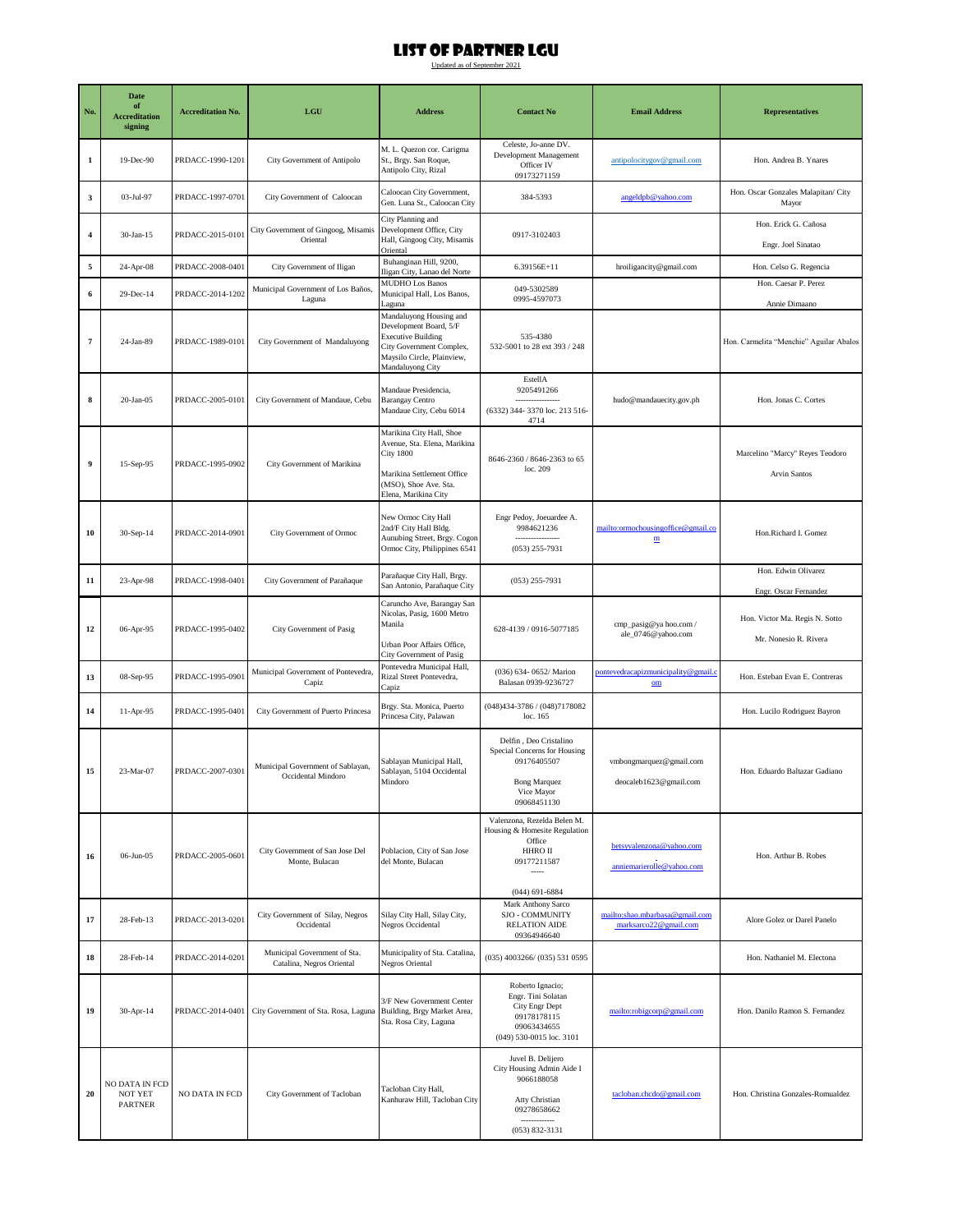| No.                     | <b>Date</b><br>of<br><b>Accreditation</b><br>signing | <b>Accreditation No.</b> | LGU                                                       | <b>Address</b>                                                                                                                                                         | <b>Contact No</b>                                                                                                                    | <b>Email Address</b>                                           | <b>Representatives</b>                                   |
|-------------------------|------------------------------------------------------|--------------------------|-----------------------------------------------------------|------------------------------------------------------------------------------------------------------------------------------------------------------------------------|--------------------------------------------------------------------------------------------------------------------------------------|----------------------------------------------------------------|----------------------------------------------------------|
| $\mathbf{1}$            | 19-Dec-90                                            | PRDACC-1990-1201         | City Government of Antipolo                               | M. L. Quezon cor. Carigma<br>St., Brgy. San Roque,<br>Antipolo City, Rizal                                                                                             | Celeste, Jo-anne DV.<br>Development Management<br>Officer IV<br>09173271159                                                          | antipolocitygov@gmail.com                                      | Hon. Andrea B. Ynares                                    |
| 3                       | 03-Jul-97                                            | PRDACC-1997-0701         | City Government of Caloocan                               | Caloocan City Government,<br>Gen. Luna St., Caloocan City                                                                                                              | 384-5393                                                                                                                             | angeldpb@yahoo.com                                             | Hon. Oscar Gonzales Malapitan/ City<br>Mayor             |
| $\overline{\mathbf{4}}$ | 30-Jan-15                                            | PRDACC-2015-0101         | City Government of Gingoog, Misamis<br>Oriental           | City Planning and<br>Development Office, City<br>Hall, Gingoog City, Misamis<br>Oriental                                                                               | 0917-3102403                                                                                                                         |                                                                | Hon. Erick G. Cañosa<br>Engr. Joel Sinatao               |
| 5                       | 24-Apr-08                                            | PRDACC-2008-0401         | City Government of Iligan                                 | Buhanginan Hill, 9200,<br>Iligan City, Lanao del Norte                                                                                                                 | 6.39156E+11                                                                                                                          | hroiligancity@gmail.com                                        | Hon. Celso G. Regencia                                   |
| 6                       | 29-Dec-14                                            | PRDACC-2014-1202         | Municipal Government of Los Baños,<br>Laguna              | <b>MUDHO Los Banos</b><br>Municipal Hall, Los Banos,                                                                                                                   | 049-5302589<br>0995-4597073                                                                                                          |                                                                | Hon. Caesar P. Perez                                     |
| $\scriptstyle\rm 7$     | 24-Jan-89                                            | PRDACC-1989-0101         | City Government of Mandaluyong                            | Laguna<br>Mandaluyong Housing and<br>Development Board, 5/F<br><b>Executive Building</b><br>City Government Complex,<br>Maysilo Circle, Plainview,<br>Mandaluyong City | 535-4380<br>532-5001 to 28 ext 393 / 248                                                                                             |                                                                | Annie Dimaano<br>Hon. Carmelita "Menchie" Aguilar Abalos |
| 8                       | $20-Jan-05$                                          | PRDACC-2005-0101         | City Government of Mandaue, Cebu                          | Mandaue Presidencia,<br><b>Barangay Centro</b><br>Mandaue City, Cebu 6014                                                                                              | EstellA<br>9205491266<br><br>(6332) 344-3370 loc. 213 516-<br>4714                                                                   | hudo@mandauecity.gov.ph                                        | Hon. Jonas C. Cortes                                     |
| $\boldsymbol{9}$        | 15-Sep-95                                            | PRDACC-1995-0902         | City Government of Marikina                               | Marikina City Hall, Shoe<br>Avenue, Sta. Elena, Marikina<br><b>City 1800</b><br>Marikina Settlement Office<br>(MSO), Shoe Ave. Sta.<br>Elena, Marikina City            | 8646-2360 / 8646-2363 to 65<br>loc. 209                                                                                              |                                                                | Marcelino "Marcy" Reyes Teodoro<br>Arvin Santos          |
| 10                      | $30-Sep-14$                                          | PRDACC-2014-0901         | City Government of Ormoc                                  | New Ormoc City Hall<br>2nd/F City Hall Bldg.<br>Aunubing Street, Brgy. Cogon<br>Ormoc City, Philippines 6541                                                           | Engr Pedoy, Joeuardee A.<br>9984621236<br>.<br>$(053)$ 255-7931                                                                      | mailto:ormochousingoffice@gmail.co<br>$\underline{\textbf{m}}$ | Hon.Richard I. Gomez                                     |
| 11                      | 23-Apr-98                                            | PRDACC-1998-0401         | City Government of Parañaque                              | Parañaque City Hall, Brgy.<br>San Antonio, Parañaque City                                                                                                              | $(053)$ 255-7931                                                                                                                     |                                                                | Hon. Edwin Olivarez<br>Engr. Oscar Fernandez             |
| 12                      | 06-Apr-95                                            | PRDACC-1995-0402         | City Government of Pasig                                  | Caruncho Ave, Barangay San<br>Nicolas, Pasig, 1600 Metro<br>Manila<br>Urban Poor Affairs Office,                                                                       | 628-4139 / 0916-5077185                                                                                                              | cmp_pasig@ya hoo.com /<br>ale_0746@yahoo.com                   | Hon. Victor Ma. Regis N. Sotto<br>Mr. Nonesio R. Rivera  |
| 13                      | 08-Sep-95                                            | PRDACC-1995-0901         | Municipal Government of Pontevedra,<br>Capiz              | City Government of Pasig<br>Pontevedra Municipal Hall,<br>Rizal Street Pontevedra,<br>Capiz                                                                            | (036) 634-0652/ Marion<br>Balasan 0939-9236727                                                                                       | pontevedracapizmunicipality@gmail.c<br>$_{\text{om}}$          | Hon. Esteban Evan E. Contreras                           |
| 14                      | 11-Apr-95                                            | PRDACC-1995-0401         | City Government of Puerto Princesa                        | Brgy. Sta. Monica, Puerto<br>Princesa City, Palawan                                                                                                                    | (048)434-3786 / (048)7178082<br>loc. 165                                                                                             |                                                                | Hon. Lucilo Rodriguez Bayron                             |
| 15                      | 23-Mar-07                                            | PRDACC-2007-0301         | Municipal Government of Sablayan,<br>Occidental Mindoro   | Sablayan Municipal Hall,<br>Sablayan, 5104 Occidental<br>Mindoro                                                                                                       | Delfin, Deo Cristalino<br>Special Concerns for Housing<br>09176405507<br><b>Bong Marquez</b><br>Vice Mayor<br>09068451130            | vmbongmarquez@gmail.com<br>deocaleb1623@gmail.com              | Hon. Eduardo Baltazar Gadiano                            |
| 16                      | 06-Jun-05                                            | PRDACC-2005-0601         | City Government of San Jose Del<br>Monte, Bulacan         | Poblacion, City of San Jose<br>del Monte, Bulacan                                                                                                                      | Valenzona, Rezelda Belen M.<br>Housing & Homesite Regulation<br>Office<br>HHRO II<br>09177211587<br>$\cdots$<br>$(044)$ 691-6884     | betsyvalenzona@yahoo.com<br>anniemarierolle@yahoo.com          | Hon. Arthur B. Robes                                     |
| 17                      | 28-Feb-13                                            | PRDACC-2013-0201         | City Government of Silay, Negros<br>Occidental            | Silay City Hall, Silay City,<br>Negros Occidental                                                                                                                      | Mark Anthony Sarco<br>SJO - COMMUNITY<br>RELATION AIDE<br>09364946640                                                                | mailto:shao.mbarbasa@gmail.com<br>marksarco22@gmail.com        | Alore Golez or Darel Panelo                              |
| 18                      | 28-Feb-14                                            | PRDACC-2014-0201         | Municipal Government of Sta.<br>Catalina, Negros Oriental | Municipality of Sta. Catalina,<br>Negros Oriental                                                                                                                      | $(035)$ 4003266/ $(035)$ 531 0595                                                                                                    |                                                                | Hon. Nathaniel M. Electona                               |
| 19                      | 30-Apr-14                                            | PRDACC-2014-0401         | City Government of Sta. Rosa, Laguna                      | 3/F New Government Center<br>Building, Brgy Market Area,<br>Sta. Rosa City, Laguna                                                                                     | Roberto Ignacio;<br>Engr. Tini Solatan<br>City Engr Dept<br>09178178115<br>09063434655<br>(049) 530-0015 loc. 3101                   | mailto:robigcorp@gmail.com                                     | Hon. Danilo Ramon S. Fernandez                           |
| 20                      | NO DATA IN FCD<br><b>NOT YET</b><br><b>PARTNER</b>   | NO DATA IN FCD           | City Government of Tacloban                               | Tacloban City Hall,<br>Kanhuraw Hill, Tacloban City                                                                                                                    | Juvel B. Delijero<br>City Housing Admin Aide I<br>9066188058<br>Atty Christian<br>09278658662<br>-------------<br>$(053) 832 - 3131$ | tacloban.chcdo@gmail.com                                       | Hon. Christina Gonzales-Romualdez                        |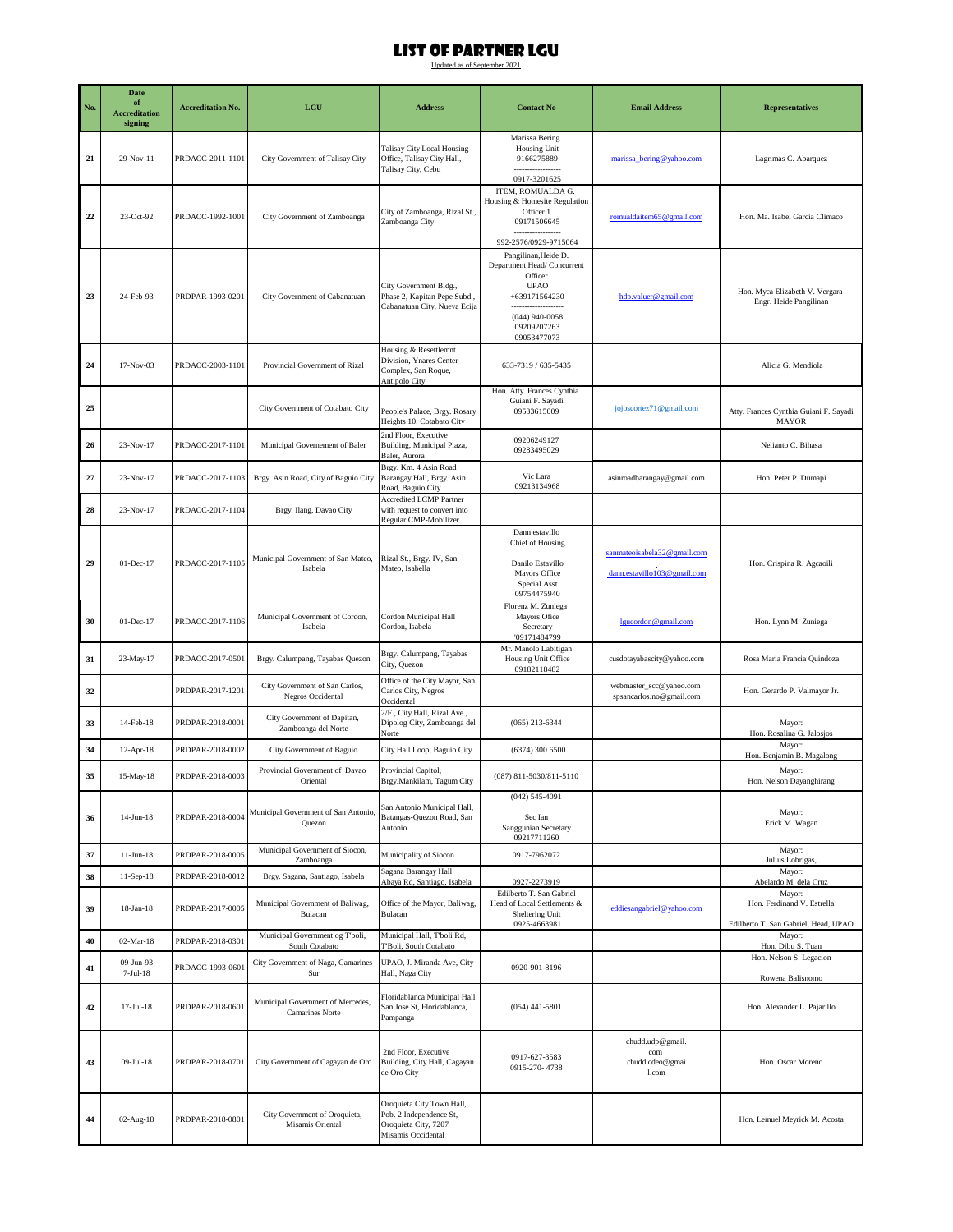| No. | Date<br>of<br><b>Accreditation</b><br>signing | <b>Accreditation No.</b> | $_{\rm LGU}$                                         | <b>Address</b>                                                                                     | <b>Contact No</b>                                                                                                                               | <b>Email Address</b>                                       | <b>Representatives</b>                                                       |
|-----|-----------------------------------------------|--------------------------|------------------------------------------------------|----------------------------------------------------------------------------------------------------|-------------------------------------------------------------------------------------------------------------------------------------------------|------------------------------------------------------------|------------------------------------------------------------------------------|
| 21  | 29-Nov-11                                     | PRDACC-2011-1101         | City Government of Talisay City                      | Talisay City Local Housing<br>Office, Talisay City Hall,<br>Talisay City, Cebu                     | Marissa Bering<br>Housing Unit<br>9166275889<br>0917-3201625                                                                                    | marissa bering@yahoo.com                                   | Lagrimas C. Abarquez                                                         |
| 22  | 23-Oct-92                                     | PRDACC-1992-1001         | City Government of Zamboanga                         | City of Zamboanga, Rizal St.,<br>Zamboanga City                                                    | ITEM, ROMUALDA G.<br>Housing & Homesite Regulation<br>Officer 1<br>09171506645<br>992-2576/0929-9715064                                         | romualdaitem65@gmail.com                                   | Hon. Ma. Isabel Garcia Climaco                                               |
| 23  | 24-Feb-93                                     | PRDPAR-1993-0201         | City Government of Cabanatuan                        | City Government Bldg.,<br>Phase 2, Kapitan Pepe Subd.,<br>Cabanatuan City, Nueva Ecija             | Pangilinan, Heide D.<br>Department Head/Concurrent<br>Officer<br><b>UPAO</b><br>+639171564230<br>$(044)$ 940-0058<br>09209207263<br>09053477073 | hdp.valuer@gmail.com                                       | Hon. Myca Elizabeth V. Vergara<br>Engr. Heide Pangilinan                     |
| 24  | 17-Nov-03                                     | PRDACC-2003-1101         | Provincial Government of Rizal                       | Housing & Resettlemnt<br>Division, Ynares Center<br>Complex, San Roque,<br>Antipolo City           | 633-7319 / 635-5435                                                                                                                             |                                                            | Alicia G. Mendiola                                                           |
| 25  |                                               |                          | City Government of Cotabato City                     | People's Palace, Brgy. Rosary<br>Heights 10, Cotabato City                                         | Hon. Atty. Frances Cynthia<br>Guiani F. Sayadi<br>09533615009                                                                                   | jojoscortez71@gmail.com                                    | Atty. Frances Cynthia Guiani F. Sayadi<br><b>MAYOR</b>                       |
| 26  | 23-Nov-17                                     | PRDACC-2017-1101         | Municipal Governement of Baler                       | 2nd Floor, Executive<br>Building, Municipal Plaza,<br>Baler, Aurora                                | 09206249127<br>09283495029                                                                                                                      |                                                            | Nelianto C. Bihasa                                                           |
| 27  | 23-Nov-17                                     | PRDACC-2017-1103         | Brgy. Asin Road, City of Baguio City                 | Brgy. Km. 4 Asin Road<br>Barangay Hall, Brgy. Asin<br>Road, Baguio City                            | Vic Lara<br>09213134968                                                                                                                         | asinroadbarangay@gmail.com                                 | Hon. Peter P. Dumapi                                                         |
| 28  | 23-Nov-17                                     | PRDACC-2017-1104         | Brgy. Ilang, Davao City                              | <b>Accredited LCMP Partner</b><br>with request to convert into<br>Regular CMP-Mobilizer            |                                                                                                                                                 |                                                            |                                                                              |
| 29  | 01-Dec-17                                     | PRDACC-2017-1105         | Municipal Government of San Mateo,<br>Isabela        | Rizal St., Brgy. IV, San<br>Mateo, Isabella                                                        | Dann estavillo<br>Chief of Housing<br>Danilo Estavillo<br>Mayors Office<br>Special Asst<br>09754475940                                          | sanmateoisabela32@gmail.com<br>dann.estavillo103@gmail.com | Hon. Crispina R. Agcaoili                                                    |
| 30  | 01-Dec-17                                     | PRDACC-2017-1106         | Municipal Government of Cordon,<br>Isabela           | Cordon Municipal Hall<br>Cordon, Isabela                                                           | Florenz M. Zuniega<br>Mayors Ofice<br>Secretary<br>'09171484799                                                                                 | lgucordon@gmail.com                                        | Hon. Lynn M. Zuniega                                                         |
| 31  | 23-May-17                                     | PRDACC-2017-0501         | Brgy. Calumpang, Tayabas Quezon                      | Brgy. Calumpang, Tayabas<br>City, Quezon                                                           | Mr. Manolo Labitigan<br>Housing Unit Office<br>09182118482                                                                                      | cusdotayabascity@yahoo.com                                 | Rosa Maria Francia Quindoza                                                  |
| 32  |                                               | PRDPAR-2017-1201         | City Government of San Carlos,<br>Negros Occidental  | Office of the City Mayor, San<br>Carlos City, Negros<br>Occidental                                 |                                                                                                                                                 | webmaster_scc@yahoo.com<br>spsancarlos.no@gmail.com        | Hon. Gerardo P. Valmayor Jr.                                                 |
| 33  | 14-Feb-18                                     | PRDPAR-2018-0001         | City Government of Dapitan,<br>Zamboanga del Norte   | 2/F, City Hall, Rizal Ave.,<br>Dipolog City, Zamboanga del<br>Norte                                | $(065)$ 213-6344                                                                                                                                |                                                            | Mayor:<br>Hon. Rosalina G. Jalosjos                                          |
| 34  | 12-Apr-18                                     | PRDPAR-2018-0002         | City Government of Baguio                            | City Hall Loop, Baguio City                                                                        | (6374) 300 6500                                                                                                                                 |                                                            | Mayor:<br>Hon. Benjamin B. Magalong                                          |
| 35  | 15-May-18                                     | PRDPAR-2018-0003         | Provincial Government of Davao<br>Oriental           | Provincial Capitol,<br>Brgy.Mankilam, Tagum City                                                   | (087) 811-5030/811-5110                                                                                                                         |                                                            | Mayor:<br>Hon. Nelson Dayanghirang                                           |
| 36  | $14$ -Jun- $18$                               | PRDPAR-2018-0004         | Municipal Government of San Antonio<br>Quezon        | San Antonio Municipal Hall,<br>Batangas-Quezon Road, San<br>Antonio                                | $(042) 545 - 4091$<br>Sec Ian<br>Sanggunian Secretary<br>09217711260                                                                            |                                                            | Mayor:<br>Erick M. Wagan                                                     |
| 37  | $11-Jun-18$                                   | PRDPAR-2018-0005         | Municipal Government of Siocon,<br>Zamboanga         | Municipality of Siocon                                                                             | 0917-7962072                                                                                                                                    |                                                            | Mayor:<br>Julius Lobrigas,                                                   |
| 38  | $11-Sep-18$                                   | PRDPAR-2018-0012         | Brgy. Sagana, Santiago, Isabela                      | Sagana Barangay Hall<br>Abaya Rd, Santiago, Isabela                                                | 0927-2273919                                                                                                                                    |                                                            | Mayor:<br>Abelardo M. dela Cruz                                              |
| 39  | $18$ -Jan- $18$                               | PRDPAR-2017-0005         | Municipal Government of Baliwag,<br>Bulacan          | Office of the Mayor, Baliwag,<br>Bulacan                                                           | Edilberto T. San Gabriel<br>Head of Local Settlements &<br>Sheltering Unit<br>0925-4663981                                                      | eddiesangabriel@yahoo.com                                  | Mayor:<br>Hon. Ferdinand V. Estrella<br>Edilberto T. San Gabriel, Head, UPAO |
| 40  | $02-Mar-18$                                   | PRDPAR-2018-0301         | Municipal Government og T'boli,<br>South Cotabato    | Municipal Hall, T'boli Rd,<br>T'Boli, South Cotabato                                               |                                                                                                                                                 |                                                            | Mayor:<br>Hon. Dibu S. Tuan                                                  |
| 41  | 09-Jun-93<br>$7-Jul-18$                       | PRDACC-1993-0601         | City Government of Naga, Camarines<br>Sur            | UPAO, J. Miranda Ave, City<br>Hall, Naga City                                                      | 0920-901-8196                                                                                                                                   |                                                            | Hon. Nelson S. Legacion<br>Rowena Balisnomo                                  |
| 42  | $17-Jul-18$                                   | PRDPAR-2018-0601         | Municipal Government of Mercedes,<br>Camarines Norte | Floridablanca Municipal Hall<br>San Jose St, Floridablanca,<br>Pampanga                            | $(054)$ 441-5801                                                                                                                                |                                                            | Hon. Alexander L. Pajarillo                                                  |
| 43  | 09-Jul-18                                     | PRDPAR-2018-0701         | City Government of Cagayan de Oro                    | 2nd Floor, Executive<br>Building, City Hall, Cagayan<br>de Oro City                                | 0917-627-3583<br>0915-270-4738                                                                                                                  | chudd.udp@gmail.<br>com<br>chudd.cdeo@gmai<br>1.com        | Hon. Oscar Moreno                                                            |
| 44  | 02-Aug-18                                     | PRDPAR-2018-0801         | City Government of Oroquieta,<br>Misamis Oriental    | Oroquieta City Town Hall,<br>Pob. 2 Independence St,<br>Oroquieta City, 7207<br>Misamis Occidental |                                                                                                                                                 |                                                            | Hon. Lemuel Meyrick M. Acosta                                                |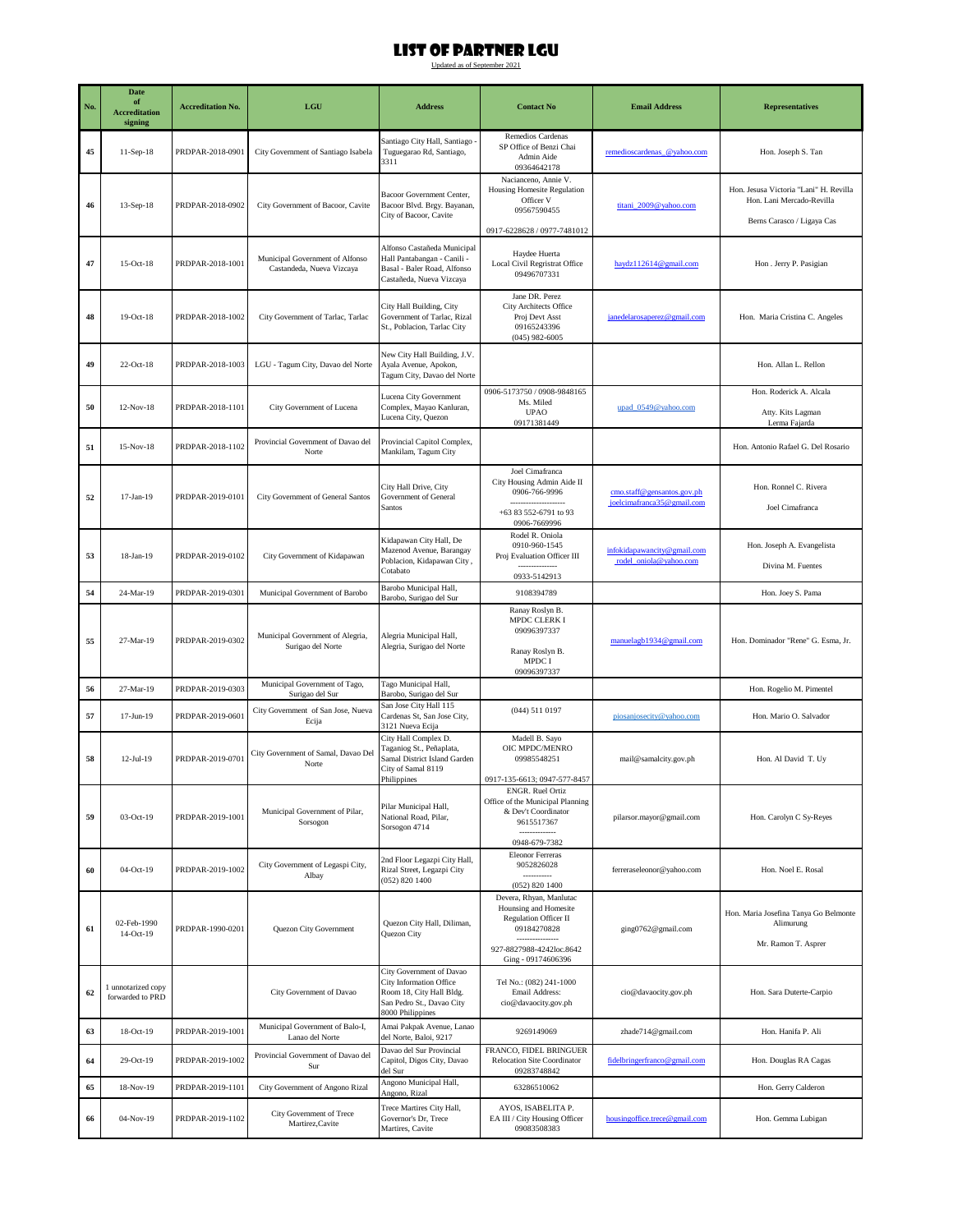| No. | Date<br>of                             | <b>Accreditation No.</b> | LGU                                                          | <b>Address</b>                                                                                                                   | <b>Contact No</b>                                                                                                                                 | <b>Email Address</b>                                     | <b>Representatives</b>                                                                            |
|-----|----------------------------------------|--------------------------|--------------------------------------------------------------|----------------------------------------------------------------------------------------------------------------------------------|---------------------------------------------------------------------------------------------------------------------------------------------------|----------------------------------------------------------|---------------------------------------------------------------------------------------------------|
|     | <b>Accreditation</b><br>signing        |                          |                                                              |                                                                                                                                  |                                                                                                                                                   |                                                          |                                                                                                   |
| 45  | 11-Sep-18                              | PRDPAR-2018-0901         | City Government of Santiago Isabela                          | Santiago City Hall, Santiago<br>Tuguegarao Rd, Santiago,<br>3311                                                                 | Remedios Cardenas<br>SP Office of Benzi Chai<br>Admin Aide<br>09364642178                                                                         | remedioscardenas_@yahoo.com                              | Hon. Joseph S. Tan                                                                                |
| 46  | 13-Sep-18                              | PRDPAR-2018-0902         | City Government of Bacoor, Cavite                            | Bacoor Government Center,<br>Bacoor Blvd. Brgy. Bayanan,<br>City of Bacoor, Cavite                                               | Nacianceno, Annie V.<br>Housing Homesite Regulation<br>Officer V<br>09567590455<br>0917-6228628 / 0977-7481012                                    | titani 2009@yahoo.com                                    | Hon. Jesusa Victoria "Lani" H. Revilla<br>Hon. Lani Mercado-Revilla<br>Berns Carasco / Ligaya Cas |
| 47  | $15-Oct-18$                            | PRDPAR-2018-1001         | Municipal Government of Alfonso<br>Castandeda, Nueva Vizcaya | Alfonso Castañeda Municipal<br>Hall Pantabangan - Canili -<br>Basal - Baler Road, Alfonso<br>Castañeda, Nueva Vizcaya            | Haydee Huerta<br>Local Civil Regristrat Office<br>09496707331                                                                                     | haydz112614@gmail.com                                    | Hon . Jerry P. Pasigian                                                                           |
| 48  | $19-Oct-18$                            | PRDPAR-2018-1002         | City Government of Tarlac, Tarlac                            | City Hall Building, City<br>Government of Tarlac, Rizal<br>St., Poblacion, Tarlac City                                           | Jane DR. Perez<br><b>City Architects Office</b><br>Proj Devt Asst<br>09165243396<br>$(045)$ 982-6005                                              | janedelarosaperez@gmail.com                              | Hon. Maria Cristina C. Angeles                                                                    |
| 49  | $22$ -Oct-18                           | PRDPAR-2018-1003         | LGU - Tagum City, Davao del Norte                            | New City Hall Building, J.V.<br>Ayala Avenue, Apokon,<br>Tagum City, Davao del Norte                                             |                                                                                                                                                   |                                                          | Hon. Allan L. Rellon                                                                              |
| 50  | $12-Nov-18$                            | PRDPAR-2018-1101         | City Government of Lucena                                    | Lucena City Government<br>Complex, Mayao Kanluran,<br>Lucena City, Quezon                                                        | 0906-5173750 / 0908-9848165<br>Ms. Miled<br><b>UPAO</b><br>09171381449                                                                            | upad_0549@yahoo.com                                      | Hon. Roderick A. Alcala<br>Atty. Kits Lagman<br>Lerma Fajarda                                     |
| 51  | $15-Nov-18$                            | PRDPAR-2018-1102         | Provincial Government of Davao del<br>Norte                  | Provincial Capitol Complex,<br>Mankilam, Tagum City                                                                              |                                                                                                                                                   |                                                          | Hon. Antonio Rafael G. Del Rosario                                                                |
| 52  | $17-Jan-19$                            | PRDPAR-2019-0101         | City Government of General Santos                            | City Hall Drive, City<br>Government of General<br>Santos                                                                         | Joel Cimafranca<br>City Housing Admin Aide II<br>0906-766-9996<br>+63 83 552-6791 to 93<br>0906-7669996                                           | cmo.staff@gensantos.gov.ph<br>joelcimafranca35@gmail.com | Hon. Ronnel C. Rivera<br>Joel Cimafranca                                                          |
| 53  | 18-Jan-19                              | PRDPAR-2019-0102         | City Government of Kidapawan                                 | Kidapawan City Hall, De<br>Mazenod Avenue, Barangay<br>Poblacion, Kidapawan City,<br>Cotabato                                    | Rodel R. Oniola<br>0910-960-1545<br>Proj Evaluation Officer III<br>0933-5142913                                                                   | infokidapawancity@gmail.com<br>rodel_oniola@yahoo.com    | Hon. Joseph A. Evangelista<br>Divina M. Fuentes                                                   |
| 54  | 24-Mar-19                              | PRDPAR-2019-0301         | Municipal Government of Barobo                               | Barobo Municipal Hall,<br>Barobo, Surigao del Sur                                                                                | 9108394789                                                                                                                                        |                                                          | Hon. Joey S. Pama                                                                                 |
| 55  | 27-Mar-19                              | PRDPAR-2019-0302         | Municipal Government of Alegria,<br>Surigao del Norte        | Alegria Municipal Hall,<br>Alegria, Surigao del Norte                                                                            | Ranay Roslyn B.<br>MPDC CLERK I<br>09096397337<br>Ranay Roslyn B.<br>MPDC I<br>09096397337                                                        | manuelagb1934@gmail.com                                  | Hon. Dominador "Rene" G. Esma, Jr.                                                                |
| 56  | 27-Mar-19                              | PRDPAR-2019-0303         | Municipal Government of Tago,<br>Surigao del Sur             | Tago Municipal Hall,<br>Barobo, Surigao del Sur                                                                                  |                                                                                                                                                   |                                                          | Hon. Rogelio M. Pimentel                                                                          |
| 57  | 17-Jun-19                              | PRDPAR-2019-0601         | City Government of San Jose, Nueva<br>Ecija                  | San Jose City Hall 115<br>Cardenas St, San Jose City,<br>3121 Nueva Ecija                                                        | (044) 511 0197                                                                                                                                    | piosanjosecity@yahoo.com                                 | Hon. Mario O. Salvador                                                                            |
| 58  | $12-Jul-19$                            | PRDPAR-2019-0701         | City Government of Samal, Davao Del<br>Norte                 | City Hall Complex D.<br>Taganiog St., Peñaplata,<br>Samal District Island Garden<br>City of Samal 8119<br>Philinnines            | Madell B. Sayo<br>OIC MPDC/MENRO<br>09985548251<br>0917-135-6613: 0947-577-8457                                                                   | mail@samalcity.gov.ph                                    | Hon. Al David T. Uy                                                                               |
| 59  | 03-Oct-19                              | PRDPAR-2019-1001         | Municipal Government of Pilar,<br>Sorsogon                   | Pilar Municipal Hall,<br>National Road, Pilar,<br>Sorsogon 4714                                                                  | ENGR. Ruel Ortiz<br>Office of the Municipal Planning<br>& Dev't Coordinator<br>9615517367<br>0948-679-7382                                        | pilarsor.mayor@gmail.com                                 | Hon. Carolyn C Sy-Reyes                                                                           |
| 60  | 04-Oct-19                              | PRDPAR-2019-1002         | City Government of Legaspi City,<br>Albay                    | 2nd Floor Legazpi City Hall,<br>Rizal Street, Legazpi City<br>(052) 820 1400                                                     | <b>Eleonor Ferreras</b><br>9052826028<br>-----------<br>(052) 820 1400                                                                            | ferreraseleonor@yahoo.com                                | Hon. Noel E. Rosal                                                                                |
| 61  | 02-Feb-1990<br>14-Oct-19               | PRDPAR-1990-0201         | Quezon City Government                                       | Quezon City Hall, Diliman,<br>Quezon City                                                                                        | Devera, Rhyan, Manlutac<br>Hounsing and Homesite<br><b>Regulation Officer II</b><br>09184270828<br>927-8827988-4242loc.8642<br>Ging - 09174606396 | ging0762@gmail.com                                       | Hon. Maria Josefina Tanya Go Belmonte<br>Alimurung<br>Mr. Ramon T. Asprer                         |
| 62  | 1 unnotarized copy<br>forwarded to PRD |                          | City Government of Davao                                     | City Government of Davao<br>City Information Office<br>Room 18, City Hall Bldg.<br>San Pedro St., Davao City<br>8000 Philippines | Tel No.: (082) 241-1000<br>Email Address:<br>cio@davaocity.gov.ph                                                                                 | cio@davaocity.gov.ph                                     | Hon. Sara Duterte-Carpio                                                                          |
| 63  | 18-Oct-19                              | PRDPAR-2019-1001         | Municipal Government of Balo-I,<br>Lanao del Norte           | Amai Pakpak Avenue, Lanao<br>del Norte, Baloi, 9217                                                                              | 9269149069                                                                                                                                        | zhade714@gmail.com                                       | Hon. Hanifa P. Ali                                                                                |
| 64  | 29-Oct-19                              | PRDPAR-2019-1002         | Provincial Government of Davao del<br>Sur                    | Davao del Sur Provincial<br>Capitol, Digos City, Davao<br>del Sur                                                                | FRANCO, FIDEL BRINGUER<br>Relocation Site Coordinator<br>09283748842                                                                              | fidelbringerfranco@gmail.com                             | Hon. Douglas RA Cagas                                                                             |
| 65  | 18-Nov-19                              | PRDPAR-2019-1101         | City Government of Angono Rizal                              | Angono Municipal Hall,<br>Angono, Rizal                                                                                          | 63286510062                                                                                                                                       |                                                          | Hon. Gerry Calderon                                                                               |
| 66  | 04-Nov-19                              | PRDPAR-2019-1102         | City Government of Trece<br>Martirez, Cavite                 | Trece Martires City Hall,<br>Governor's Dr, Trece<br>Martires, Cavite                                                            | AYOS, ISABELITA P.<br>EA III / City Housing Officer<br>09083508383                                                                                | housingoffice.trece@gmail.com                            | Hon. Gemma Lubigan                                                                                |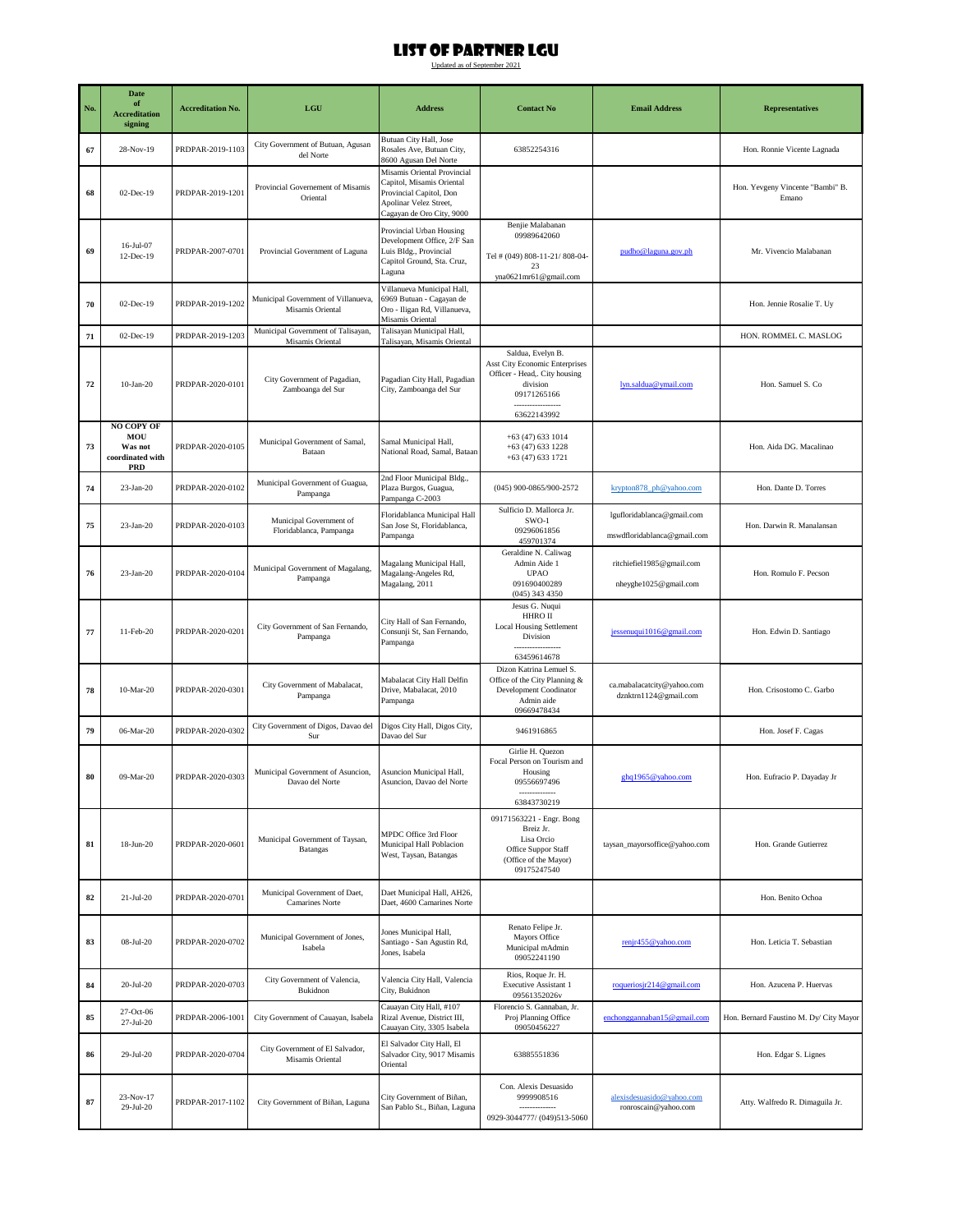| No. | <b>Date</b><br>of<br><b>Accreditation</b><br>signing                  | <b>Accreditation No.</b> | $_{\rm LGU}$                                            | <b>Address</b>                                                                                                                             | <b>Contact No</b>                                                                                                                  | <b>Email Address</b>                                      | <b>Representatives</b>                    |
|-----|-----------------------------------------------------------------------|--------------------------|---------------------------------------------------------|--------------------------------------------------------------------------------------------------------------------------------------------|------------------------------------------------------------------------------------------------------------------------------------|-----------------------------------------------------------|-------------------------------------------|
| 67  | 28-Nov-19                                                             | PRDPAR-2019-1103         | City Government of Butuan, Agusan<br>del Norte          | Butuan City Hall, Jose<br>Rosales Ave, Butuan City,<br>8600 Agusan Del Norte                                                               | 63852254316                                                                                                                        |                                                           | Hon. Ronnie Vicente Lagnada               |
| 68  | $02$ -Dec-19                                                          | PRDPAR-2019-1201         | Provincial Governement of Misamis<br>Oriental           | Misamis Oriental Provincial<br>Capitol, Misamis Oriental<br>Provincial Capitol, Don<br>Apolinar Velez Street,<br>Cagayan de Oro City, 9000 |                                                                                                                                    |                                                           | Hon. Yevgeny Vincente "Bambi" B.<br>Emano |
| 69  | 16-Jul-07<br>12-Dec-19                                                | PRDPAR-2007-0701         | Provincial Government of Laguna                         | Provincial Urban Housing<br>Development Office, 2/F San<br>Luis Bldg., Provincial<br>Capitol Ground, Sta. Cruz,<br>Laguna                  | Benjie Malabanan<br>09989642060<br>Tel # (049) 808-11-21/808-04-<br>23<br>yna0621mr61@gmail.com                                    | pudho@laguna.gov.ph                                       | Mr. Vivencio Malabanan                    |
| 70  | 02-Dec-19                                                             | PRDPAR-2019-1202         | Municipal Government of Villanueva,<br>Misamis Oriental | Villanueva Municipal Hall,<br>6969 Butuan - Cagayan de<br>Oro - Iligan Rd, Villanueva,<br>Misamis Oriental                                 |                                                                                                                                    |                                                           | Hon. Jennie Rosalie T. Uy                 |
| 71  | 02-Dec-19                                                             | PRDPAR-2019-1203         | Municipal Government of Talisayan,<br>Misamis Oriental  | Talisayan Municipal Hall,<br>Talisayan, Misamis Oriental                                                                                   |                                                                                                                                    |                                                           | HON. ROMMEL C. MASLOG                     |
| 72  | $10-Jan-20$                                                           | PRDPAR-2020-0101         | City Government of Pagadian,<br>Zamboanga del Sur       | Pagadian City Hall, Pagadian<br>City, Zamboanga del Sur                                                                                    | Saldua, Evelyn B.<br>Asst City Economic Enterprises<br>Officer - Head,. City housing<br>division<br>09171265166<br><br>63622143992 | lyn.saldua@ymail.com                                      | Hon. Samuel S. Co                         |
| 73  | <b>NO COPY OF</b><br>MOU<br>Was not<br>coordinated with<br><b>PRD</b> | PRDPAR-2020-0105         | Municipal Government of Samal,<br>Bataan                | Samal Municipal Hall,<br>National Road, Samal, Bataan                                                                                      | $+63(47)6331014$<br>$+63(47)6331228$<br>+63 (47) 633 1721                                                                          |                                                           | Hon. Aida DG. Macalinao                   |
| 74  | $23-Ian-20$                                                           | PRDPAR-2020-0102         | Municipal Government of Guagua,<br>Pampanga             | 2nd Floor Municipal Bldg.,<br>Plaza Burgos, Guagua,<br>Pampanga C-2003                                                                     | (045) 900-0865/900-2572                                                                                                            | krypton878 ph@yahoo.com                                   | Hon. Dante D. Torres                      |
| 75  | $23-Jan-20$                                                           | PRDPAR-2020-0103         | Municipal Government of<br>Floridablanca, Pampanga      | Floridablanca Municipal Hall<br>San Jose St, Floridablanca,<br>Pampanga                                                                    | Sulficio D. Mallorca Jr.<br>$SWO-1$<br>09296061856<br>459701374                                                                    | lgufloridablanca@gmail.com<br>mswdfloridablanca@gmail.com | Hon. Darwin R. Manalansan                 |
| 76  | $23-Jan-20$                                                           | PRDPAR-2020-0104         | Municipal Government of Magalang,<br>Pampanga           | Magalang Municipal Hall,<br>Magalang-Angeles Rd,<br>Magalang, 2011                                                                         | Geraldine N. Caliwag<br>Admin Aide 1<br><b>UPAO</b><br>091690400289<br>$(045)$ 343 4350                                            | ritchiefiel1985@gmail.com<br>nheyghe1025@gmail.com        | Hon. Romulo F. Pecson                     |
| 77  | 11-Feb-20                                                             | PRDPAR-2020-0201         | City Government of San Fernando,<br>Pampanga            | City Hall of San Fernando,<br>Consunji St, San Fernando,<br>Pampanga                                                                       | Jesus G. Nuqui<br>HHRO II<br><b>Local Housing Settlement</b><br>Division<br>63459614678                                            | jessenuqui1016@gmail.com                                  | Hon. Edwin D. Santiago                    |
| 78  | $10-Mar-20$                                                           | PRDPAR-2020-0301         | City Government of Mabalacat,<br>Pampanga               | Mabalacat City Hall Delfin<br>Drive, Mabalacat, 2010<br>Pampanga                                                                           | Dizon Katrina Lemuel S.<br>Office of the City Planning &<br>Development Coodinator<br>Admin aide<br>09669478434                    | ca.mabalacatcity@yahoo.com<br>dznktrn1124@gmail.com       | Hon. Crisostomo C. Garbo                  |
| 79  | 06-Mar-20                                                             | PRDPAR-2020-0302         | City Government of Digos, Davao del<br>Sur              | Digos City Hall, Digos City,<br>Davao del Sur                                                                                              | 9461916865                                                                                                                         |                                                           | Hon. Josef F. Cagas                       |
| 80  | 09-Mar-20                                                             | PRDPAR-2020-0303         | Municipal Government of Asuncion,<br>Davao del Norte    | Asuncion Municipal Hall,<br>suncion, Davao del Norte                                                                                       | Girlie H. Quezon<br>Focal Person on Tourism and<br>Housing<br>09556697496<br>63843730219                                           | ghq1965@yahoo.com                                         | Hon. Eufracio P. Dayaday Jr               |
| 81  | 18-Jun-20                                                             | PRDPAR-2020-0601         | Municipal Government of Taysan,<br>Batangas             | MPDC Office 3rd Floor<br>Municipal Hall Poblacion<br>West, Taysan, Batangas                                                                | 09171563221 - Engr. Bong<br>Breiz Jr.<br>Lisa Orcio<br>Office Suppor Staff<br>(Office of the Mayor)<br>09175247540                 | taysan_mayorsoffice@yahoo.com                             | Hon. Grande Gutierrez                     |
| 82  | $21-Jul-20$                                                           | PRDPAR-2020-0701         | Municipal Government of Daet,<br><b>Camarines Norte</b> | Daet Municipal Hall, AH26,<br>Daet, 4600 Camarines Norte                                                                                   |                                                                                                                                    |                                                           | Hon. Benito Ochoa                         |
| 83  | 08-Jul-20                                                             | PRDPAR-2020-0702         | Municipal Government of Jones,<br>Isabela               | Jones Municipal Hall,<br>Santiago - San Agustin Rd,<br>Jones, Isabela                                                                      | Renato Felipe Jr.<br>Mayors Office<br>Municipal mAdmin<br>09052241190                                                              | renjr455@yahoo.com                                        | Hon. Leticia T. Sebastian                 |
| 84  | 20-Jul-20                                                             | PRDPAR-2020-0703         | City Government of Valencia,<br>Bukidnon                | Valencia City Hall, Valencia<br>City, Bukidnon                                                                                             | Rios, Roque Jr. H.<br>Executive Assistant 1<br>09561352026v                                                                        | roqueriosjr214@gmail.com                                  | Hon. Azucena P. Huervas                   |
| 85  | 27-Oct-06<br>$27 - Jul - 20$                                          | PRDPAR-2006-1001         | City Government of Cauayan, Isabela                     | Cauayan City Hall, #107<br>Rizal Avenue, District III,<br>Cauayan City, 3305 Isabela                                                       | Florencio S. Gannaban, Jr.<br>Proj Planning Office<br>09050456227                                                                  | enchonggannaban15@gmail.com                               | Hon. Bernard Faustino M. Dy/ City Mayor   |
| 86  | 29-Jul-20                                                             | PRDPAR-2020-0704         | City Government of El Salvador,<br>Misamis Oriental     | El Salvador City Hall, El<br>Salvador City, 9017 Misamis<br>Oriental                                                                       | 63885551836                                                                                                                        |                                                           | Hon. Edgar S. Lignes                      |
| 87  | 23-Nov-17<br>29-Jul-20                                                | PRDPAR-2017-1102         | City Government of Biñan, Laguna                        | City Government of Biñan,<br>San Pablo St., Biñan, Laguna                                                                                  | Con. Alexis Desuasido<br>9999908516<br>--------------<br>0929-3044777/ (049)513-5060                                               | alexisdesuasido@yahoo.com<br>ronroscain@yahoo.com         | Atty. Walfredo R. Dimaguila Jr.           |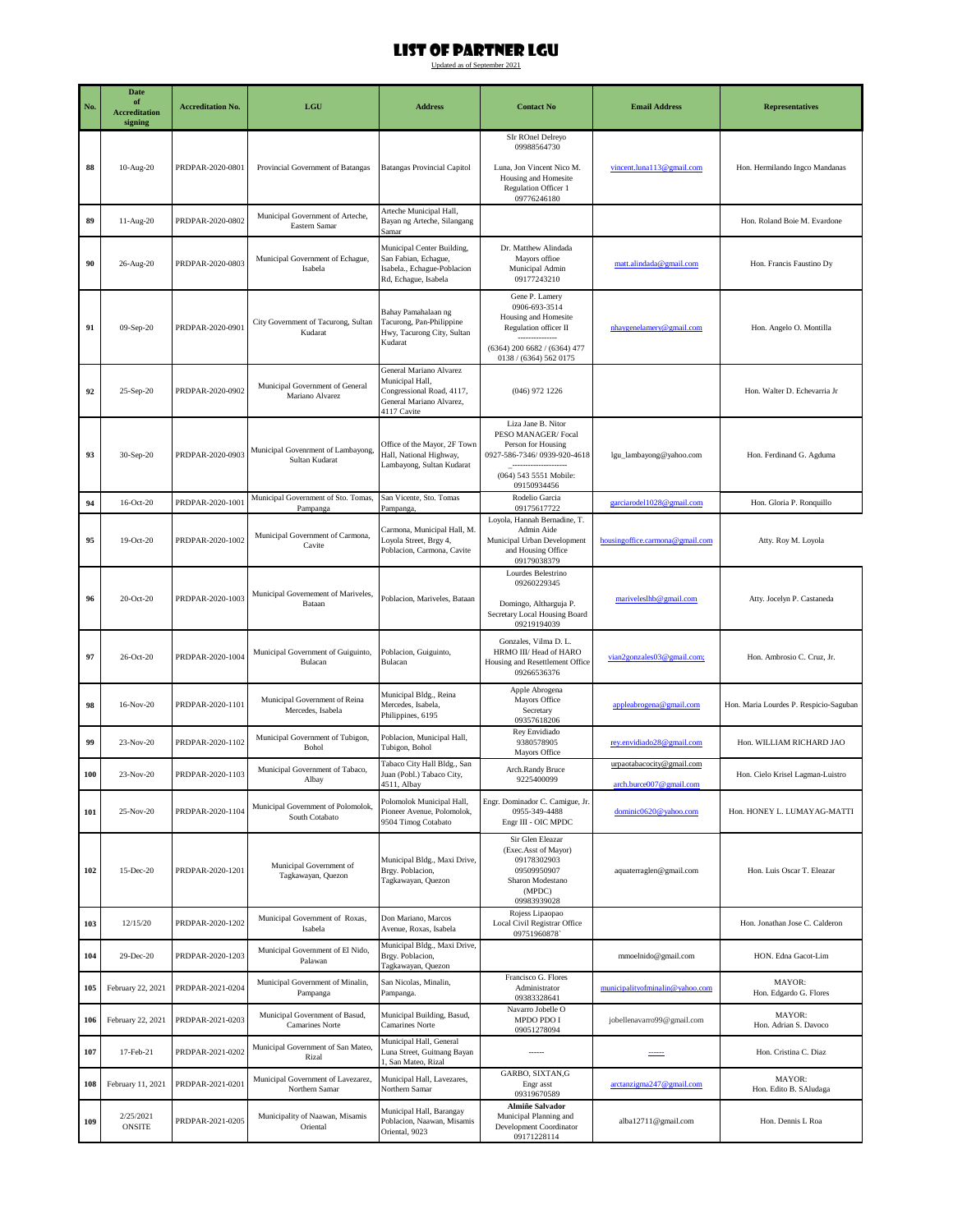|     | Date<br>of                      |                          |                                                      |                                                                                                                    |                                                                                                                                                |                                                      |                                        |
|-----|---------------------------------|--------------------------|------------------------------------------------------|--------------------------------------------------------------------------------------------------------------------|------------------------------------------------------------------------------------------------------------------------------------------------|------------------------------------------------------|----------------------------------------|
| No. | <b>Accreditation</b><br>signing | <b>Accreditation No.</b> | LGU                                                  | <b>Address</b>                                                                                                     | <b>Contact No</b>                                                                                                                              | <b>Email Address</b>                                 | <b>Representatives</b>                 |
|     |                                 |                          |                                                      |                                                                                                                    | SIr ROnel Delreyo<br>09988564730                                                                                                               |                                                      |                                        |
| 88  | 10-Aug-20                       | PRDPAR-2020-0801         | Provincial Government of Batangas                    | <b>Batangas Provincial Capitol</b>                                                                                 | Luna, Jon Vincent Nico M.<br>Housing and Homesite<br>Regulation Officer 1<br>09776246180                                                       | vincent.luna113@gmail.com                            | Hon. Hermilando Ingco Mandanas         |
| 89  | 11-Aug-20                       | PRDPAR-2020-0802         | Municipal Government of Arteche,<br>Eastern Samar    | Arteche Municipal Hall,<br>Bayan ng Arteche, Silangang<br>Samar                                                    |                                                                                                                                                |                                                      | Hon. Roland Boie M. Evardone           |
| 90  | 26-Aug-20                       | PRDPAR-2020-0803         | Municipal Government of Echague,<br>Isabela          | Municipal Center Building,<br>San Fabian, Echague,<br>Isabela., Echague-Poblacion<br>Rd, Echague, Isabela          | Dr. Matthew Alindada<br>Mayors office<br>Municipal Admin<br>09177243210                                                                        | matt.alindada@gmail.com                              | Hon. Francis Faustino Dy               |
| 91  | 09-Sep-20                       | PRDPAR-2020-0901         | City Government of Tacurong, Sultan<br>Kudarat       | Bahay Pamahalaan ng<br>Tacurong, Pan-Philippine<br>Hwy, Tacurong City, Sultan<br>Kudarat                           | Gene P. Lamery<br>0906-693-3514<br>Housing and Homesite<br>Regulation officer II<br>$(6364)$ 200 6682 / $(6364)$ 477<br>0138 / (6364) 562 0175 | nhaygenelamery@gmail.com                             | Hon. Angelo O. Montilla                |
| 92  | 25-Sep-20                       | PRDPAR-2020-0902         | Municipal Government of General<br>Mariano Alvarez   | General Mariano Alvarez<br>Municipal Hall,<br>Congressional Road, 4117,<br>General Mariano Alvarez,<br>4117 Cavite | $(046)$ 972 1226                                                                                                                               |                                                      | Hon. Walter D. Echevarria Jr.          |
| 93  | 30-Sep-20                       | PRDPAR-2020-0903         | Municipal Govenrment of Lambayong,<br>Sultan Kudarat | Office of the Mayor, 2F Town<br>Hall, National Highway,<br>Lambayong, Sultan Kudarat                               | Liza Jane B. Nitor<br>PESO MANAGER/Focal<br>Person for Housing<br>0927-586-7346/0939-920-4618<br>(064) 543 5551 Mobile:<br>09150934456         | lgu_lambayong@yahoo.com                              | Hon. Ferdinand G. Agduma               |
| 94  | $16-Oct-20$                     | PRDPAR-2020-1001         | Municipal Government of Sto. Tomas,<br>Pampanga      | San Vicente, Sto. Tomas<br>Pampanga,                                                                               | Rodelio Garcia<br>09175617722                                                                                                                  | garciarodel1028@gmail.com                            | Hon. Gloria P. Ronquillo               |
| 95  | $19-Oct-20$                     | PRDPAR-2020-1002         | Municipal Government of Carmona,<br>Cavite           | Carmona, Municipal Hall, M.<br>Loyola Street, Brgy 4,<br>Poblacion, Carmona, Cavite                                | Loyola, Hannah Bernadine, T.<br>Admin Aide<br>Municipal Urban Development<br>and Housing Office<br>09179038379                                 | housing office.carmona@gmail.com                     | Atty. Roy M. Loyola                    |
| 96  | 20-Oct-20                       | PRDPAR-2020-1003         | Municipal Governement of Mariveles,<br>Bataan        | Poblacion, Mariveles, Bataan                                                                                       | Lourdes Belestrino<br>09260229345<br>Domingo, Altharguja P.<br>Secretary Local Housing Board<br>09219194039                                    | mariveleslhb@gmail.com                               | Atty. Jocelyn P. Castaneda             |
| 97  | 26-Oct-20                       | PRDPAR-2020-1004         | Municipal Government of Guiguinto,<br>Bulacan        | Poblacion, Guiguinto,<br>Bulacan                                                                                   | Gonzales, Vilma D. L.<br>HRMO III/ Head of HARO<br>Housing and Resettlement Office<br>09266536376                                              | vian2gonzales03@gmail.com;                           | Hon. Ambrosio C. Cruz, Jr.             |
| 98  | $16-Nov-20$                     | PRDPAR-2020-1101         | Municipal Government of Reina<br>Mercedes, Isabela   | Municipal Bldg., Reina<br>Mercedes, Isabela,<br>Philippines, 6195                                                  | Apple Abrogena<br>Mayors Office<br>Secretary<br>09357618206                                                                                    | appleabrogena@gmail.com                              | Hon. Maria Lourdes P. Respicio-Saguban |
| 99  | 23-Nov-20                       | PRDPAR-2020-1102         | Municipal Government of Tubigon,<br>Bohol            | Poblacion, Municipal Hall,<br>Tubigon, Bohol                                                                       | Rey Envidiado<br>9380578905<br>Mayors Office                                                                                                   | rey.envidiado28@gmail.com                            | Hon. WILLIAM RICHARD JAO               |
| 100 | 23-Nov-20                       | PRDPAR-2020-1103         | Municipal Government of Tabaco,<br>Albay             | Tabaco City Hall Bldg., San<br>Juan (Pobl.) Tabaco City,<br>4511, Albay                                            | Arch.Randy Bruce<br>9225400099                                                                                                                 | urpaotabacocity@gmail.com<br>arch.burce007@gmail.com | Hon. Cielo Krisel Lagman-Luistro       |
| 101 | 25-Nov-20                       | PRDPAR-2020-1104         | Municipal Government of Polomolok,<br>South Cotabato | Polomolok Municipal Hall,<br>Pioneer Avenue, Polomolok,<br>9504 Timog Cotabato                                     | Engr. Dominador C. Camigue, Jr.<br>0955-349-4488<br>Engr III - OIC MPDC                                                                        | dominic0620@yahoo.com                                | Hon. HONEY L. LUMAYAG-MATTI            |
| 102 | 15-Dec-20                       | PRDPAR-2020-1201         | Municipal Government of<br>Tagkawayan, Quezon        | Municipal Bldg., Maxi Drive,<br>Brgy. Poblacion,<br>Tagkawayan, Quezon                                             | Sir Glen Eleazar<br>(Exec.Asst of Mayor)<br>09178302903<br>09509950907<br>Sharon Modestano<br>(MPDC)<br>09983939028                            | aquaterraglen@gmail.com                              | Hon. Luis Oscar T. Eleazar             |
| 103 | 12/15/20                        | PRDPAR-2020-1202         | Municipal Government of Roxas,<br>Isabela            | Don Mariano, Marcos<br>Avenue, Roxas, Isabela                                                                      | Rojess Lipaopao<br>Local Civil Registrar Office<br>09751960878                                                                                 |                                                      | Hon. Jonathan Jose C. Calderon         |
| 104 | 29-Dec-20                       | PRDPAR-2020-1203         | Municipal Government of El Nido,<br>Palawan          | Municipal Bldg., Maxi Drive,<br>Brgy. Poblacion,<br>Tagkawayan, Quezon                                             |                                                                                                                                                | mmoelnido@gmail.com                                  | HON. Edna Gacot-Lim                    |
| 105 | February 22, 2021               | PRDPAR-2021-0204         | Municipal Government of Minalin,<br>Pampanga         | San Nicolas, Minalin,<br>Pampanga.                                                                                 | Francisco G. Flores<br>Administrator<br>09383328641                                                                                            | municipalityofminalin@yahoo.com                      | MAYOR:<br>Hon. Edgardo G. Flores       |
| 106 | February 22, 2021               | PRDPAR-2021-0203         | Municipal Government of Basud,<br>Camarines Norte    | Municipal Building, Basud,<br>Camarines Norte                                                                      | Navarro Jobelle O<br>MPDO PDO I<br>09051278094                                                                                                 | jobellenavarro99@gmail.com                           | MAYOR:<br>Hon. Adrian S. Davoco        |
| 107 | 17-Feb-21                       | PRDPAR-2021-0202         | Municipal Government of San Mateo,<br>Rizal          | Municipal Hall, General<br>Luna Street, Guitnang Bayan<br>1, San Mateo, Rizal                                      |                                                                                                                                                | ------                                               | Hon. Cristina C. Diaz                  |
| 108 | February 11, 2021               | PRDPAR-2021-0201         | Municipal Government of Lavezarez,<br>Northern Samar | Municipal Hall, Lavezares,<br>Northern Samar                                                                       | GARBO, SIXTAN, G<br>Engr asst<br>09319670589                                                                                                   | arctanzigma247@gmail.com                             | MAYOR:<br>Hon. Edito B. SAludaga       |
| 109 | 2/25/2021<br><b>ONSITE</b>      | PRDPAR-2021-0205         | Municipality of Naawan, Misamis<br>Oriental          | Municipal Hall, Barangay<br>Poblacion, Naawan, Misamis<br>Oriental, 9023                                           | <b>Almiñe Salvador</b><br>Municipal Planning and<br>Development Coordinator<br>09171228114                                                     | alba12711@gmail.com                                  | Hon. Dennis L Roa                      |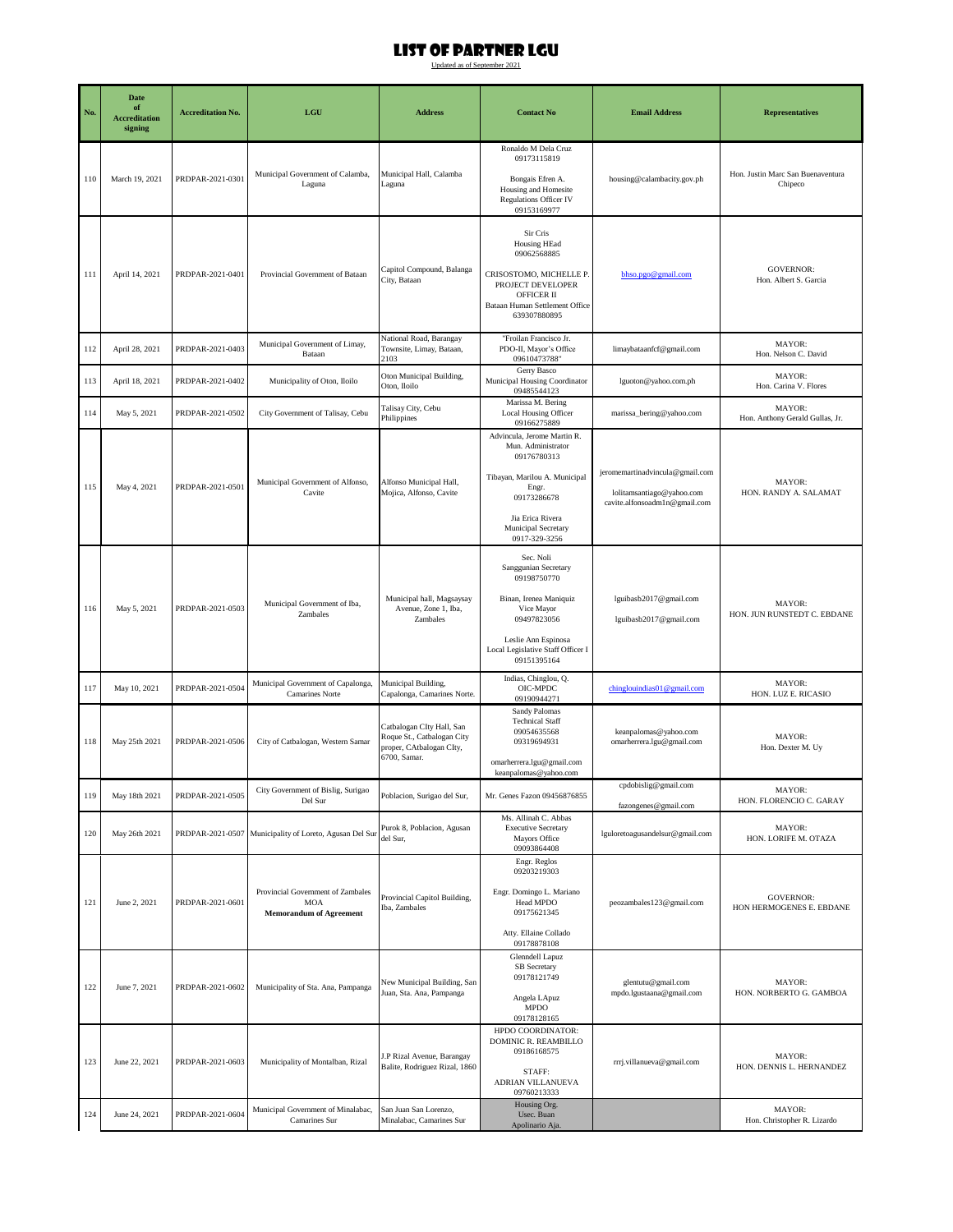| No. | <b>Date</b><br>of<br><b>Accreditation</b><br>signing | <b>Accreditation No.</b> | LGU                                                                               | <b>Address</b>                                                                                      | <b>Contact No</b>                                                                                                                                                                     | <b>Email Address</b>                                                                          | <b>Representatives</b>                       |
|-----|------------------------------------------------------|--------------------------|-----------------------------------------------------------------------------------|-----------------------------------------------------------------------------------------------------|---------------------------------------------------------------------------------------------------------------------------------------------------------------------------------------|-----------------------------------------------------------------------------------------------|----------------------------------------------|
| 110 | March 19, 2021                                       | PRDPAR-2021-0301         | Municipal Government of Calamba,<br>Laguna                                        | Municipal Hall, Calamba<br>Laguna                                                                   | Ronaldo M Dela Cruz<br>09173115819<br>Bongais Efren A.<br>Housing and Homesite<br><b>Regulations Officer IV</b><br>09153169977                                                        | housing@calambacity.gov.ph                                                                    | Hon. Justin Marc San Buenaventura<br>Chipeco |
| 111 | April 14, 2021                                       | PRDPAR-2021-0401         | Provincial Government of Bataan                                                   | Capitol Compound, Balanga<br>City, Bataan                                                           | Sir Cris<br>Housing HEad<br>09062568885<br>CRISOSTOMO, MICHELLE P.<br>PROJECT DEVELOPER<br>OFFICER II<br>Bataan Human Settlement Office<br>639307880895                               | bhso.pgo@gmail.com                                                                            | <b>GOVERNOR:</b><br>Hon. Albert S. Garcia    |
| 112 | April 28, 2021                                       | PRDPAR-2021-0403         | Municipal Government of Limay,<br>Bataan                                          | National Road, Barangay<br>Townsite, Limay, Bataan,<br>2103                                         | "Froilan Francisco Jr.<br>PDO-II, Mayor's Office<br>09610473788"                                                                                                                      | limaybataanfcf@gmail.com                                                                      | MAYOR:<br>Hon. Nelson C. David               |
| 113 | April 18, 2021                                       | PRDPAR-2021-0402         | Municipality of Oton, Iloilo                                                      | Oton Municipal Building,<br>Oton, Iloilo                                                            | Gerry Basco<br>Municipal Housing Coordinator<br>09485544123                                                                                                                           | lguoton@yahoo.com.ph                                                                          | MAYOR:<br>Hon. Carina V. Flores              |
| 114 | May 5, 2021                                          | PRDPAR-2021-0502         | City Government of Talisay, Cebu                                                  | Talisay City, Cebu<br>Philippines                                                                   | Marissa M. Bering<br>Local Housing Officer<br>09166275889                                                                                                                             | marissa_bering@yahoo.com                                                                      | MAYOR:<br>Hon. Anthony Gerald Gullas, Jr.    |
| 115 | May 4, 2021                                          | PRDPAR-2021-0501         | Municipal Government of Alfonso,<br>Cavite                                        | Alfonso Municipal Hall,<br>Mojica, Alfonso, Cavite                                                  | Advincula, Jerome Martin R.<br>Mun. Administrator<br>09176780313<br>Tibayan, Marilou A. Municipal<br>Engr.<br>09173286678<br>Jia Erica Rivera<br>Municipal Secretary<br>0917-329-3256 | jeromemartinadvincula@gmail.com<br>lolitamsantiago@yahoo.com<br>cavite.alfonsoadmln@gmail.com | MAYOR:<br>HON. RANDY A. SALAMAT              |
| 116 | May 5, 2021                                          | PRDPAR-2021-0503         | Municipal Government of Iba,<br>Zambales                                          | Municipal hall, Magsaysay<br>Avenue, Zone 1, Iba,<br>Zambales                                       | Sec. Noli<br>Sanggunian Secretary<br>09198750770<br>Binan, Irenea Maniquiz<br>Vice Mayor<br>09497823056<br>Leslie Ann Espinosa<br>Local Legislative Staff Officer I<br>09151395164    | lguibasb2017@gmail.com<br>lguibasb2017@gmail.com                                              | MAYOR:<br>HON. JUN RUNSTEDT C. EBDANE        |
| 117 | May 10, 2021                                         | PRDPAR-2021-0504         | Municipal Government of Capalonga,<br>Camarines Norte                             | Municipal Building,<br>Capalonga, Camarines Norte.                                                  | Indias, Chinglou, Q.<br>OIC-MPDC<br>09190944271                                                                                                                                       | chinglouindias01@gmail.com                                                                    | MAYOR:<br>HON. LUZ E. RICASIO                |
| 118 | May 25th 2021                                        | PRDPAR-2021-0506         | City of Catbalogan, Western Samar                                                 | Catbalogan CIty Hall, San<br>Roque St., Catbalogan City<br>proper, CAtbalogan CIty,<br>6700, Samar. | Sandy Palomas<br><b>Technical Staff</b><br>09054635568<br>09319694931<br>omarherrera.lgu@gmail.com<br>keanpalomas@yahoo.com                                                           | keanpalomas@yahoo.com<br>omarherrera.lgu@gmail.com                                            | MAYOR:<br>Hon. Dexter M. Uy                  |
| 119 | May 18th 2021                                        | PRDPAR-2021-0505         | City Government of Bislig, Surigao<br>Del Sur                                     | Poblacion, Surigao del Sur,                                                                         | Mr. Genes Fazon 09456876855                                                                                                                                                           | cpdobislig@gmail.com<br>fazongenes@gmail.com                                                  | MAYOR:<br>HON. FLORENCIO C. GARAY            |
| 120 | May 26th 2021                                        | PRDPAR-2021-0507         | Municipality of Loreto, Agusan Del Sur                                            | Purok 8, Poblacion, Agusan<br>del Sur,                                                              | Ms. Allinah C. Abbas<br><b>Executive Secretary</b><br>Mayors Office<br>09093864408                                                                                                    | lguloretoagusandelsur@gmail.com                                                               | MAYOR:<br>HON. LORIFE M. OTAZA               |
| 121 | June 2, 2021                                         | PRDPAR-2021-0601         | Provincial Government of Zambales<br><b>MOA</b><br><b>Memorandum of Agreement</b> | Provincial Capitol Building,<br>Iba, Zambales                                                       | Engr. Reglos<br>09203219303<br>Engr. Domingo L. Mariano<br>Head MPDO<br>09175621345<br>Atty. Ellaine Collado<br>09178878108                                                           | peozambales 123@gmail.com                                                                     | <b>GOVERNOR:</b><br>HON HERMOGENES E. EBDANE |
| 122 | June 7, 2021                                         | PRDPAR-2021-0602         | Municipality of Sta. Ana, Pampanga                                                | New Municipal Building, San<br>Juan, Sta. Ana, Pampanga                                             | Glenndell Lapuz<br>SB Secretary<br>09178121749<br>Angela LApuz<br><b>MPDO</b><br>09178128165                                                                                          | glentutu@gmail.com<br>mpdo.lgustaana@gmail.com                                                | MAYOR:<br>HON. NORBERTO G. GAMBOA            |
| 123 | June 22, 2021                                        | PRDPAR-2021-0603         | Municipality of Montalban, Rizal                                                  | J.P Rizal Avenue, Barangay<br>Balite, Rodriguez Rizal, 1860                                         | HPDO COORDINATOR:<br>DOMINIC R. REAMBILLO<br>09186168575<br>STAFF:<br>ADRIAN VILLANUEVA<br>09760213333                                                                                | rrrj.villanueva@gmail.com                                                                     | MAYOR:<br>HON. DENNIS L. HERNANDEZ           |
| 124 | June 24, 2021                                        | PRDPAR-2021-0604         | Municipal Government of Minalabac,<br>Camarines Sur                               | San Juan San Lorenzo,<br>Minalabac, Camarines Sur                                                   | Housing Org.<br>Usec. Buan<br>Apolinario Aja.                                                                                                                                         |                                                                                               | MAYOR:<br>Hon. Christopher R. Lizardo        |